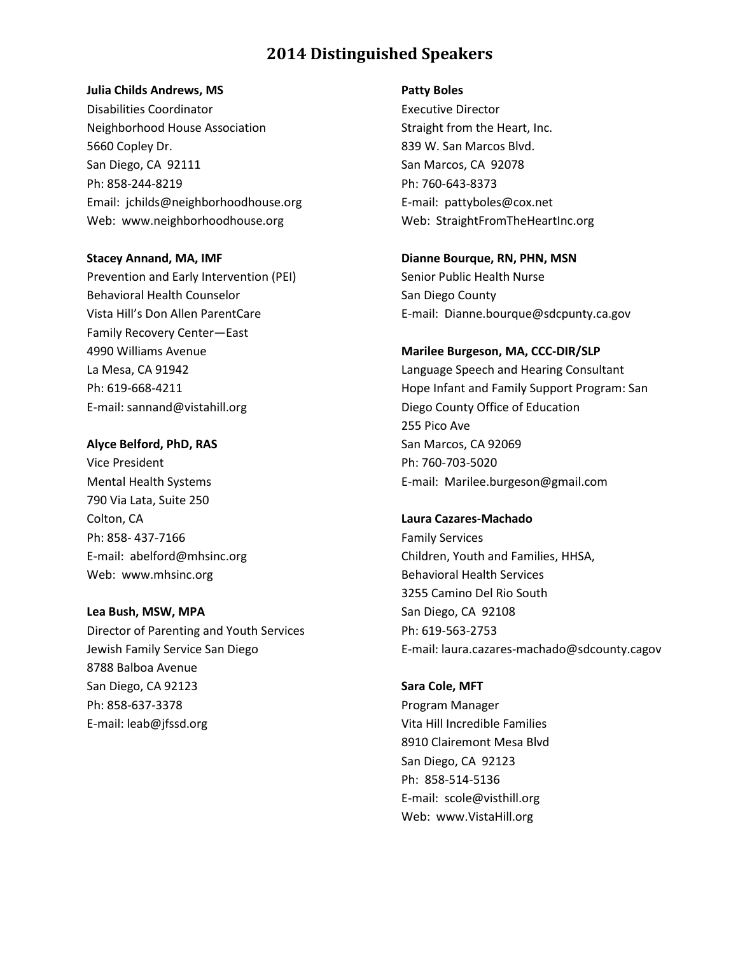### **Julia Childs Andrews, MS**

Disabilities Coordinator Neighborhood House Association 5660 Copley Dr. San Diego, CA 92111 Ph: 858-244-8219 Email: jchilds@neighborhoodhouse.org Web: www.neighborhoodhouse.org

#### **Stacey Annand, MA, IMF**

Prevention and Early Intervention (PEI) Behavioral Health Counselor Vista Hill's Don Allen ParentCare Family Recovery Center—East 4990 Williams Avenue La Mesa, CA 91942 Ph: 619-668-4211 E-mail: sannand@vistahill.org

### **Alyce Belford, PhD, RAS**

Vice President Mental Health Systems 790 Via Lata, Suite 250 Colton, CA Ph: 858- 437-7166 E-mail: abelford@mhsinc.org Web: www.mhsinc.org

### **Lea Bush, MSW, MPA**

Director of Parenting and Youth Services Jewish Family Service San Diego 8788 Balboa Avenue San Diego, CA 92123 Ph: 858-637-3378 E-mail: leab@jfssd.org

#### **Patty Boles**

Executive Director Straight from the Heart, Inc. 839 W. San Marcos Blvd. San Marcos, CA 92078 Ph: 760-643-8373 E-mail: pattyboles@cox.net Web: StraightFromTheHeartInc.org

**Dianne Bourque, RN, PHN, MSN** Senior Public Health Nurse San Diego County E-mail: Dianne.bourque@sdcpunty.ca.gov

### **Marilee Burgeson, MA, CCC-DIR/SLP**

Language Speech and Hearing Consultant Hope Infant and Family Support Program: San Diego County Office of Education 255 Pico Ave San Marcos, CA 92069 Ph: 760-703-5020 E-mail: [Marilee.burgeson@gmail.com](mailto:Marilee.burgeson@gmail.com)

#### **Laura Cazares-Machado**

Family Services Children, Youth and Families, HHSA, Behavioral Health Services 3255 Camino Del Rio South San Diego, CA 92108 Ph: 619-563-2753 E-mail: laura.cazares-machado@sdcounty.cagov

#### **Sara Cole, MFT**

Program Manager Vita Hill Incredible Families 8910 Clairemont Mesa Blvd San Diego, CA 92123 Ph: 858-514-5136 E-mail: scole@visthill.org Web: www.VistaHill.org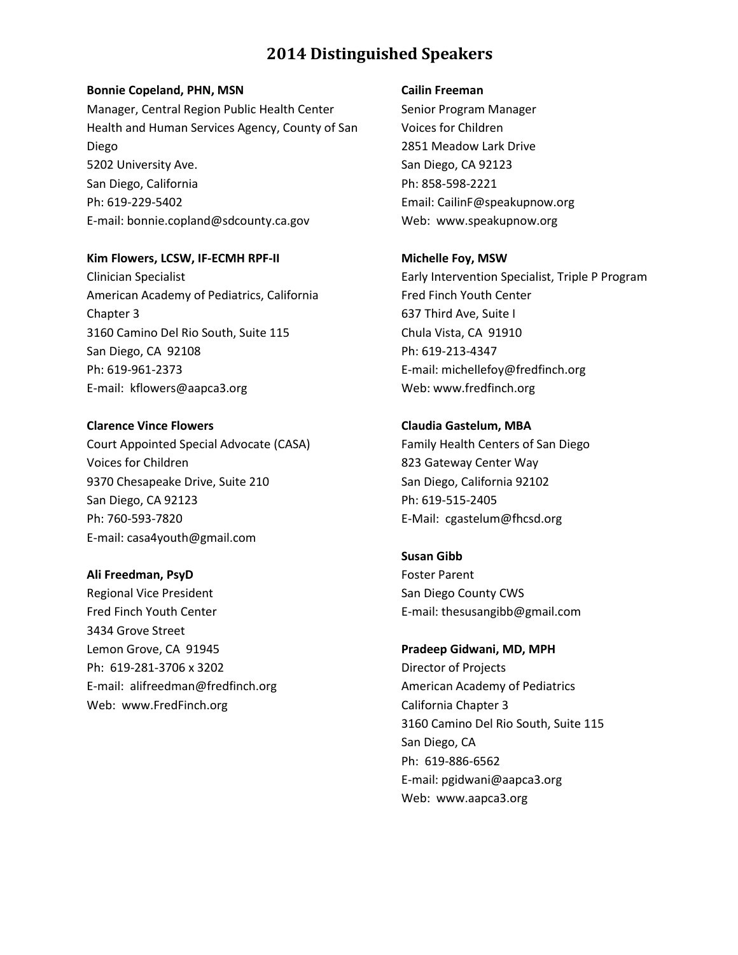### **Bonnie Copeland, PHN, MSN**

Manager, Central Region Public Health Center Health and Human Services Agency, County of San Diego 5202 University Ave. San Diego, California Ph: 619-229-5402 E-mail: bonnie.copland@sdcounty.ca.gov

**Kim Flowers, LCSW, IF-ECMH RPF-II** Clinician Specialist American Academy of Pediatrics, California Chapter 3 3160 Camino Del Rio South, Suite 115 San Diego, CA 92108 Ph: 619-961-2373 E-mail: [kflowers@aapca3.org](mailto:kflowers@aapca3.org)

**Clarence Vince Flowers** Court Appointed Special Advocate (CASA) Voices for Children 9370 Chesapeake Drive, Suite 210 San Diego, CA 92123 Ph: 760-593-7820 E-mail: casa4youth@gmail.com

**Ali Freedman, PsyD** Regional Vice President Fred Finch Youth Center 3434 Grove Street Lemon Grove, CA 91945 Ph: 619-281-3706 x 3202 E-mail: alifreedman@fredfinch.org Web:www.FredFinch.org

### **Cailin Freeman**

Senior Program Manager Voices for Children 2851 Meadow Lark Drive San Diego, CA 92123 Ph: 858-598-2221 Email: [CailinF@speakupnow.org](mailto:cailinf@speakupnow.org) Web: [www.speakupnow.org](http://www.speakupnow.org/)

**Michelle Foy, MSW** Early Intervention Specialist, Triple P Program Fred Finch Youth Center 637 Third Ave, Suite I Chula Vista, CA 91910 Ph: 619-213-4347 E-mail: michellefoy@fredfinch.org Web: www.fredfinch.org

**Claudia Gastelum, MBA** [Family Health Centers of San Diego](http://www.zoominfo.com/c/Family-Health-Centers-of-San-Diego/27035991) 823 Gateway Center Way San Diego, California 92102 Ph: 619-515-2405 E-Mail: cgastelum@fhcsd.org

**Susan Gibb** Foster Parent San Diego County CWS E-mail: thesusangibb@gmail.com

**Pradeep Gidwani, MD, MPH** Director of Projects American Academy of Pediatrics California Chapter 3 3160 Camino Del Rio South, Suite 115 San Diego, CA Ph: 619-886-6562 E-mail: [pgidwani@aapca3.org](mailto:pgidwani@aapca3.org) Web: www.aapca3.org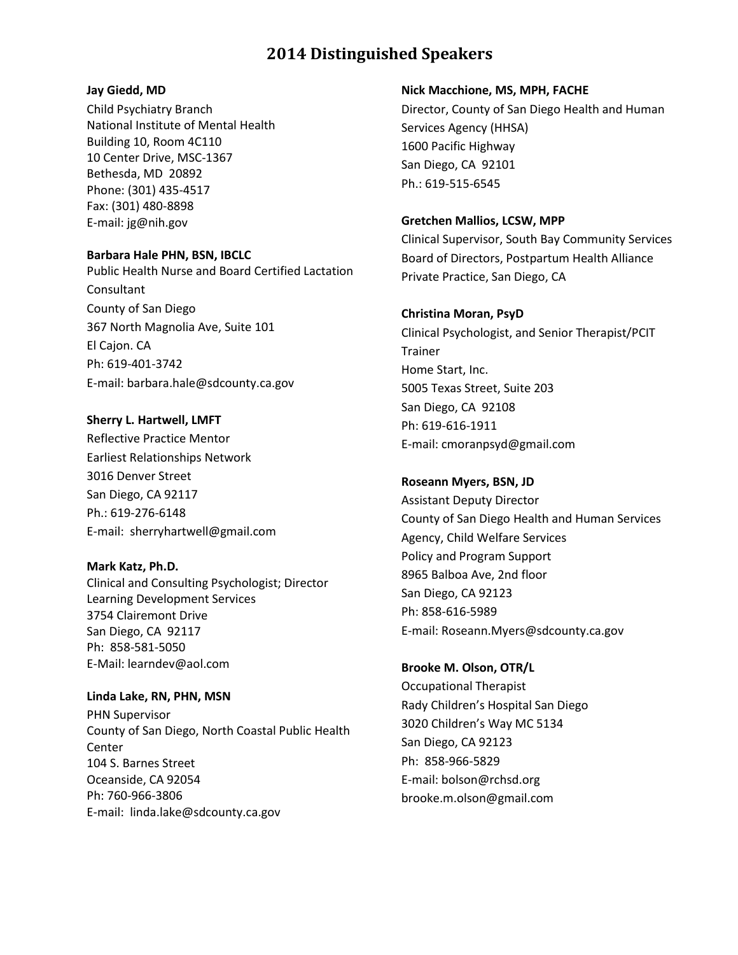## **Jay Giedd, MD**

Child Psychiatry Branch National Institute of Mental Health Building 10, Room 4C110 10 Center Drive, MSC-1367 Bethesda, MD 20892 Phone: (301) 435-4517 Fax: (301) 480-8898 E-mail: [jg@nih.gov](mailto:jg@nih.gov)

## **Barbara Hale PHN, BSN, IBCLC**

Public Health Nurse and Board Certified Lactation Consultant County of San Diego 367 North Magnolia Ave, Suite 101 El Cajon. CA Ph: 619-401-3742 E-mail: barbara.hale@sdcounty.ca.gov

**Sherry L. Hartwell, LMFT** Reflective Practice Mentor Earliest Relationships Network 3016 Denver Street San Diego, CA 92117 Ph.: 619-276-6148 E-mail: sherryhartwell@gmail.com

**Mark Katz, Ph.D.** Clinical and Consulting Psychologist; Director Learning Development Services 3754 Clairemont Drive San Diego, CA 92117 Ph: 858-581-5050 E-Mail: learndev@aol.com

**Linda Lake, RN, PHN, MSN** PHN Supervisor County of San Diego, North Coastal Public Health Center 104 S. Barnes Street Oceanside, CA 92054 Ph: 760-966-3806 E-mail: linda.lake@sdcounty.ca.gov

## **Nick Macchione, MS, MPH, FACHE**

Director, County of San Diego Health and Human Services Agency (HHSA) 1600 Pacific Highway San Diego, CA 92101 Ph.: 619-515-6545

## **Gretchen Mallios, LCSW, MPP**

Clinical Supervisor, South Bay Community Services Board of Directors, Postpartum Health Alliance Private Practice, San Diego, CA

## **Christina Moran, PsyD**

Clinical Psychologist, and Senior Therapist/PCIT Trainer Home Start, Inc. 5005 Texas Street, Suite 203 San Diego, CA 92108 Ph: 619-616-1911 E-mail: cmoranpsyd@gmail.com

## **Roseann Myers, BSN, JD**

Assistant Deputy Director County of San Diego Health and Human Services Agency, Child Welfare Services Policy and Program Support 8965 Balboa Ave, 2nd floor San Diego, CA 92123 Ph: 858-616-5989 E-mail: Roseann.Myers@sdcounty.ca.gov

**Brooke M. Olson, OTR/L** Occupational Therapist Rady Children's Hospital San Diego 3020 Children's Way MC 5134 San Diego, CA 92123 Ph: 858-966-5829 E-mail: bolson@rchsd.org brooke.m.olson@gmail.com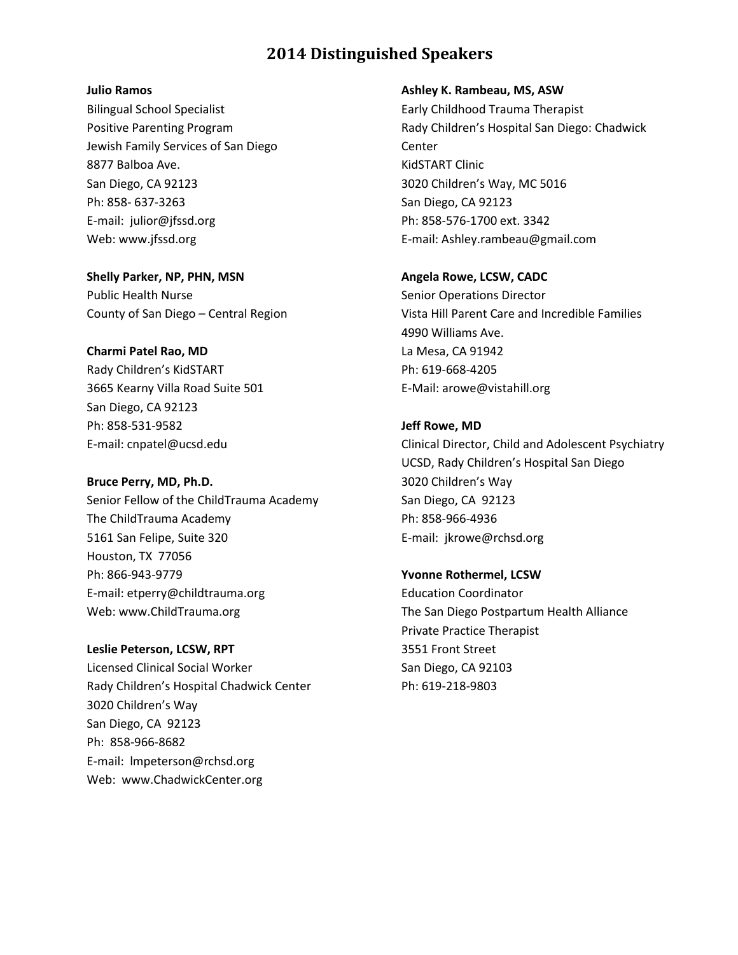### **Julio Ramos**

Bilingual School Specialist Positive Parenting Program Jewish Family Services of San Diego 8877 Balboa Ave. San Diego, CA 92123 Ph: 858- 637-3263 E-mail: [julior@jfssd.org](mailto:floral@jfssd.org) Web[: www.jfssd.org](http://mailsrvr2.jfssd.org/exchweb/bin/redir.asp?URL=http://mailsrvr2.jfssd.org/exchweb/bin/redir.asp?URL=http://mailsrvr2.jfssd.org/exchweb/bin/redir.asp?URL=http://mail.jfssd.org/exchweb/bin/redir.asp?URL=http://www.jfssd.org/) 

**Shelly Parker, NP, PHN, MSN** Public Health Nurse County of San Diego – Central Region

## **Charmi Patel Rao, MD**

Rady Children's KidSTART 3665 Kearny Villa Road Suite 501 San Diego, CA 92123 Ph: 858-531-9582 E-mail: cnpatel@ucsd.edu

## **Bruce Perry, MD, Ph.D.**

Senior Fellow of the ChildTrauma Academy The ChildTrauma Academy 5161 San Felipe, Suite 320 Houston, TX 77056 Ph: 866-943-9779 E-mail: etperry@childtrauma.org Web: www.ChildTrauma.org

**Leslie Peterson, LCSW, RPT** Licensed Clinical Social Worker Rady Children's Hospital Chadwick Center 3020 Children's Way San Diego, CA 92123 Ph: 858-966-8682 E-mail: lmpeterson@rchsd.org Web: www.ChadwickCenter.org

## **Ashley K. Rambeau, MS, ASW**

Early Childhood Trauma Therapist Rady Children's Hospital San Diego: Chadwick Center KidSTART Clinic 3020 Children's Way, MC 5016 San Diego, CA 92123 Ph: 858-576-1700 ext. 3342 E-mail: Ashley.rambeau@gmail.com

## **Angela Rowe, LCSW, CADC**

Senior Operations Director Vista Hill Parent Care and Incredible Families 4990 Williams Ave. La Mesa, CA 91942 Ph: 619-668-4205 E-Mail: arowe@vistahill.org

## **Jeff Rowe, MD**

Clinical Director, Child and Adolescent Psychiatry UCSD, Rady Children's Hospital San Diego 3020 Children's Way San Diego, CA 92123 Ph: 858-966-4936 E-mail: jkrowe@rchsd.org

**Yvonne Rothermel, LCSW** Education Coordinator The San Diego Postpartum Health Alliance Private Practice Therapist 3551 Front Street San Diego, CA 92103 Ph: 619-218-9803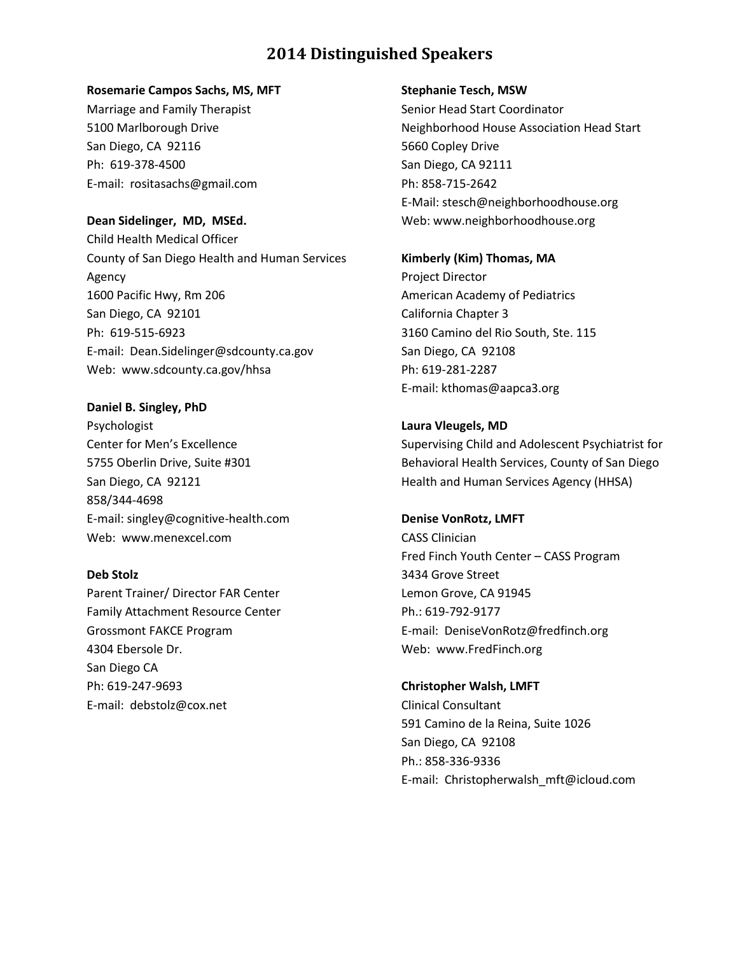#### **Rosemarie Campos Sachs, MS, MFT**

Marriage and Family Therapist 5100 Marlborough Drive San Diego, CA 92116 Ph: 619-378-4500 E-mail: rositasachs@gmail.com

**Dean Sidelinger, MD, MSEd.** Child Health Medical Officer County of San Diego Health and Human Services Agency 1600 Pacific Hwy, Rm 206 San Diego, CA 92101 Ph: 619-515-6923 E-mail: Dean.Sidelinger@sdcounty.ca.gov Web: www.sdcounty.ca.gov/hhsa

**Daniel B. Singley, PhD** Psychologist Center for Men's Excellence 5755 Oberlin Drive, Suite #301 San Diego, CA 92121 858/344-4698 E-mail: singley@cognitive-health.com Web: www.menexcel.com

**[Deb Stolz](mailto:debstolz@fredfinch.org)**

Parent Trainer/ Director FAR Center Family Attachment Resource Center Grossmont FAKCE Program 4304 Ebersole Dr. San Diego CA Ph: 619-247-9693 E-mail: [debstolz@cox.net](mailto:debstolz@cox.net)

#### **Stephanie Tesch, MSW**

Senior Head Start Coordinator Neighborhood House Association Head Start 5660 Copley Drive San Diego, CA 92111 Ph: 858-715-2642 E-Mail: stesch@neighborhoodhouse.org Web: www.neighborhoodhouse.org

**Kimberly (Kim) Thomas, MA** Project Director American Academy of Pediatrics California Chapter 3 3160 Camino del Rio South, Ste. 115 San Diego, CA 92108 Ph: 619-281-2287 E-mail: kthomas@aapca3.org

**Laura Vleugels, MD** Supervising Child and Adolescent Psychiatrist for Behavioral Health Services, County of San Diego Health and Human Services Agency (HHSA)

**Denise VonRotz, LMFT** CASS Clinician Fred Finch Youth Center – CASS Program 3434 Grove Street Lemon Grove, CA 91945 Ph.: 619-792-9177 E-mail: DeniseVonRotz@fredfinch.org Web: www.FredFinch.org

**Christopher Walsh, LMFT** Clinical Consultant 591 Camino de la Reina, Suite 1026 San Diego, CA 92108 Ph.: 858-336-9336 E-mail: Christopherwalsh\_mft@icloud.com